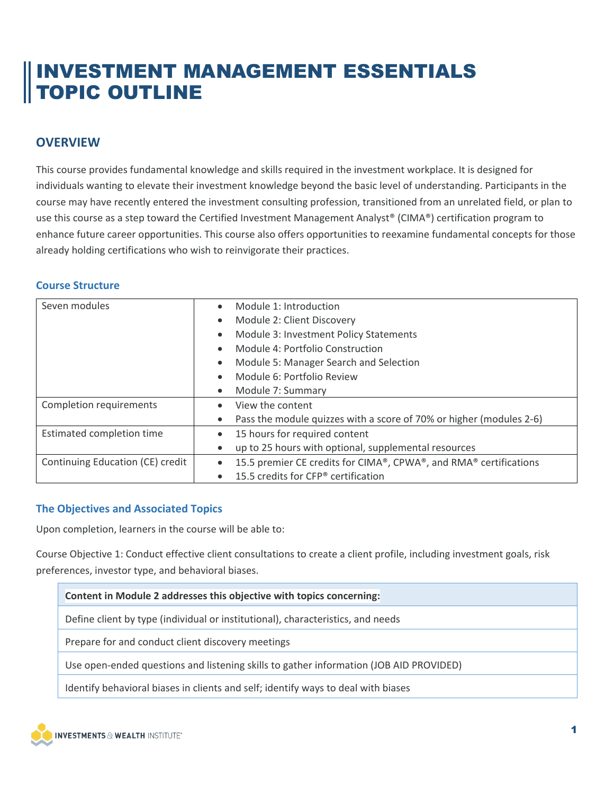# INVESTMENT MANAGEMENT ESSENTIALS TOPIC OUTLINE

## **OVERVIEW**

This course provides fundamental knowledge and skills required in the investment workplace. It is designed for individuals wanting to elevate their investment knowledge beyond the basic level of understanding. Participants in the course may have recently entered the investment consulting profession, transitioned from an unrelated field, or plan to use this course as a step toward the Certified Investment Management Analyst® (CIMA®) certification program to enhance future career opportunities. This course also offers opportunities to reexamine fundamental concepts for those already holding certifications who wish to reinvigorate their practices.

### **Course Structure**

| Seven modules                    | Module 1: Introduction<br>$\bullet$                                              |
|----------------------------------|----------------------------------------------------------------------------------|
|                                  | Module 2: Client Discovery<br>$\bullet$                                          |
|                                  | Module 3: Investment Policy Statements<br>$\bullet$                              |
|                                  | Module 4: Portfolio Construction<br>$\bullet$                                    |
|                                  | Module 5: Manager Search and Selection<br>$\bullet$                              |
|                                  | Module 6: Portfolio Review<br>$\bullet$                                          |
|                                  | Module 7: Summary<br>$\bullet$                                                   |
| Completion requirements          | View the content<br>$\bullet$                                                    |
|                                  | Pass the module quizzes with a score of 70% or higher (modules 2-6)<br>$\bullet$ |
| Estimated completion time        | 15 hours for required content<br>$\bullet$                                       |
|                                  | up to 25 hours with optional, supplemental resources<br>$\bullet$                |
| Continuing Education (CE) credit | 15.5 premier CE credits for CIMA®, CPWA®, and RMA® certifications<br>$\bullet$   |
|                                  | 15.5 credits for CFP® certification<br>$\bullet$                                 |

### **The Objectives and Associated Topics**

Upon completion, learners in the course will be able to:

Course Objective 1: Conduct effective client consultations to create a client profile, including investment goals, risk preferences, investor type, and behavioral biases.

| Content in Module 2 addresses this objective with topics concerning:                   |  |
|----------------------------------------------------------------------------------------|--|
| Define client by type (individual or institutional), characteristics, and needs        |  |
| Prepare for and conduct client discovery meetings                                      |  |
| Use open-ended questions and listening skills to gather information (JOB AID PROVIDED) |  |
| Identify behavioral biases in clients and self; identify ways to deal with biases      |  |



Ē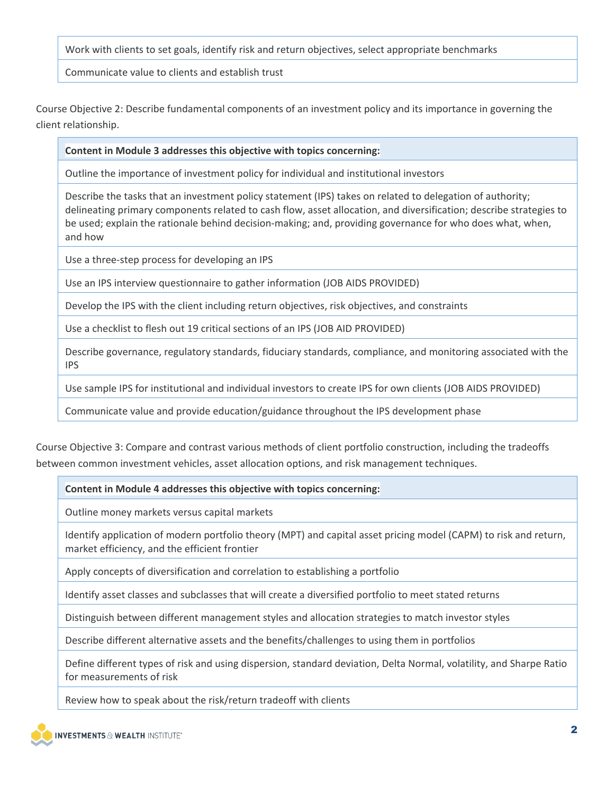Work with clients to set goals, identify risk and return objectives, select appropriate benchmarks

Communicate value to clients and establish trust

Course Objective 2: Describe fundamental components of an investment policy and its importance in governing the client relationship.

#### **Content in Module 3 addresses this objective with topics concerning:**

Outline the importance of investment policy for individual and institutional investors

Describe the tasks that an investment policy statement (IPS) takes on related to delegation of authority; delineating primary components related to cash flow, asset allocation, and diversification; describe strategies to be used; explain the rationale behind decision-making; and, providing governance for who does what, when, and how

Use a three-step process for developing an IPS

Use an IPS interview questionnaire to gather information (JOB AIDS PROVIDED)

Develop the IPS with the client including return objectives, risk objectives, and constraints

Use a checklist to flesh out 19 critical sections of an IPS (JOB AID PROVIDED)

Describe governance, regulatory standards, fiduciary standards, compliance, and monitoring associated with the IPS

Use sample IPS for institutional and individual investors to create IPS for own clients (JOB AIDS PROVIDED)

Communicate value and provide education/guidance throughout the IPS development phase

Course Objective 3: Compare and contrast various methods of client portfolio construction, including the tradeoffs between common investment vehicles, asset allocation options, and risk management techniques.

### **Content in Module 4 addresses this objective with topics concerning:**

Outline money markets versus capital markets

Identify application of modern portfolio theory (MPT) and capital asset pricing model (CAPM) to risk and return, market efficiency, and the efficient frontier

Apply concepts of diversification and correlation to establishing a portfolio

Identify asset classes and subclasses that will create a diversified portfolio to meet stated returns

Distinguish between different management styles and allocation strategies to match investor styles

Describe different alternative assets and the benefits/challenges to using them in portfolios

Define different types of risk and using dispersion, standard deviation, Delta Normal, volatility, and Sharpe Ratio for measurements of risk

Review how to speak about the risk/return tradeoff with clients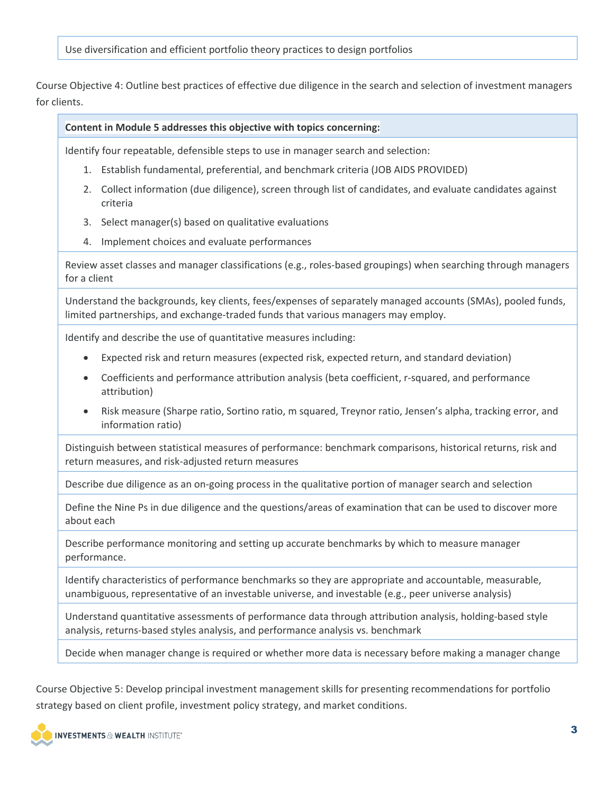Use diversification and efficient portfolio theory practices to design portfolios

Course Objective 4: Outline best practices of effective due diligence in the search and selection of investment managers for clients.

#### **Content in Module 5 addresses this objective with topics concerning:**

Identify four repeatable, defensible steps to use in manager search and selection:

- 1. Establish fundamental, preferential, and benchmark criteria (JOB AIDS PROVIDED)
- 2. Collect information (due diligence), screen through list of candidates, and evaluate candidates against criteria
- 3. Select manager(s) based on qualitative evaluations
- 4. Implement choices and evaluate performances

Review asset classes and manager classifications (e.g., roles-based groupings) when searching through managers for a client

Understand the backgrounds, key clients, fees/expenses of separately managed accounts (SMAs), pooled funds, limited partnerships, and exchange-traded funds that various managers may employ.

Identify and describe the use of quantitative measures including:

- Expected risk and return measures (expected risk, expected return, and standard deviation)
- Coefficients and performance attribution analysis (beta coefficient, r-squared, and performance attribution)
- Risk measure (Sharpe ratio, Sortino ratio, m squared, Treynor ratio, Jensen's alpha, tracking error, and information ratio)

Distinguish between statistical measures of performance: benchmark comparisons, historical returns, risk and return measures, and risk-adjusted return measures

Describe due diligence as an on-going process in the qualitative portion of manager search and selection

Define the Nine Ps in due diligence and the questions/areas of examination that can be used to discover more about each

Describe performance monitoring and setting up accurate benchmarks by which to measure manager performance.

Identify characteristics of performance benchmarks so they are appropriate and accountable, measurable, unambiguous, representative of an investable universe, and investable (e.g., peer universe analysis)

Understand quantitative assessments of performance data through attribution analysis, holding-based style analysis, returns-based styles analysis, and performance analysis vs. benchmark

Decide when manager change is required or whether more data is necessary before making a manager change

Course Objective 5: Develop principal investment management skills for presenting recommendations for portfolio strategy based on client profile, investment policy strategy, and market conditions.